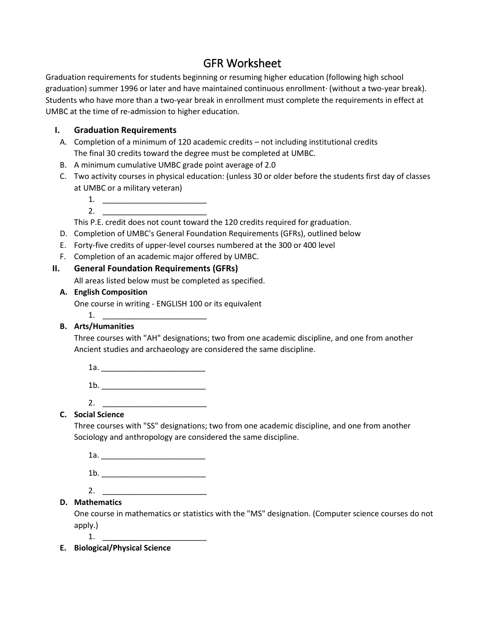# GFR Worksheet

Graduation requirements for students beginning or resuming higher education (following high school graduation) summer 1996 or later and have maintained continuous enrollment· (without a two-year break). Students who have more than a two-year break in enrollment must complete the requirements in effect at UMBC at the time of re-admission to higher education.

## **I. Graduation Requirements**

- A. Completion of a minimum of 120 academic credits not including institutional credits The final 30 credits toward the degree must be completed at UMBC.
- B. A minimum cumulative UMBC grade point average of 2.0
- C. Two activity courses in physical education: (unless 30 or older before the students first day of classes at UMBC or a military veteran)
	- 1. \_\_\_\_\_\_\_\_\_\_\_\_\_\_\_\_\_\_\_\_\_\_\_\_
	- $2.$

This P.E. credit does not count toward the 120 credits required for graduation.

- D. Completion of UMBC's General Foundation Requirements (GFRs), outlined below
- E. Forty-five credits of upper-level courses numbered at the 300 or 400 level
- F. Completion of an academic major offered by UMBC.

#### **II. General Foundation Requirements (GFRs)**

All areas listed below must be completed as specified.

#### **A. English Composition**

One course in writing - ENGLISH 100 or its equivalent

# 1. \_\_\_\_\_\_\_\_\_\_\_\_\_\_\_\_\_\_\_\_\_\_\_\_

# **B. Arts/Humanities**

Three courses with "AH" designations; two from one academic discipline, and one from another Ancient studies and archaeology are considered the same discipline.

| --- |  |  |  |  |  |
|-----|--|--|--|--|--|
|     |  |  |  |  |  |

- 1b. \_\_\_\_\_\_\_\_\_\_\_\_\_\_\_\_\_\_\_\_\_\_\_\_
- 2. \_\_\_\_\_\_\_\_\_\_\_\_\_\_\_\_\_\_\_\_\_\_\_\_

### **C. Social Science**

Three courses with "SS" designations; two from one academic discipline, and one from another Sociology and anthropology are considered the same discipline.

1a. \_\_\_\_\_\_\_\_\_\_\_\_\_\_\_\_\_\_\_\_\_\_\_\_

- 1b. \_\_\_\_\_\_\_\_\_\_\_\_\_\_\_\_\_\_\_\_\_\_\_\_
- 2. \_\_\_\_\_\_\_\_\_\_\_\_\_\_\_\_\_\_\_\_\_\_\_\_

# **D. Mathematics**

One course in mathematics or statistics with the "MS" designation. (Computer science courses do not apply.)

1. \_\_\_\_\_\_\_\_\_\_\_\_\_\_\_\_\_\_\_\_\_\_\_\_

**E. Biological/Physical Science**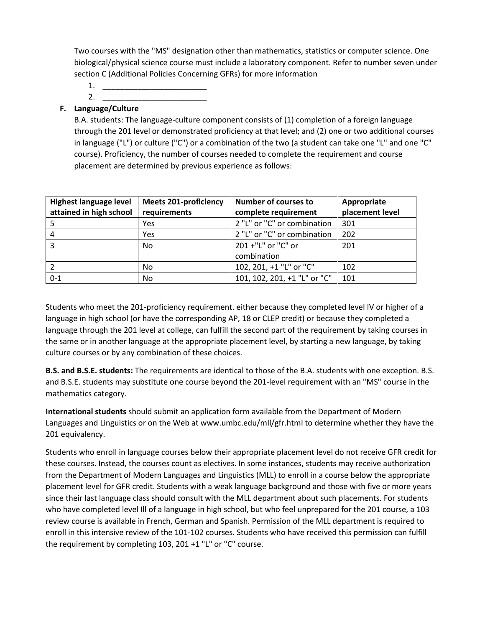Two courses with the "MS" designation other than mathematics, statistics or computer science. One biological/physical science course must include a laboratory component. Refer to number seven under section C (Additional Policies Concerning GFRs) for more information

- 1. \_\_\_\_\_\_\_\_\_\_\_\_\_\_\_\_\_\_\_\_\_\_\_\_
- 2. \_\_\_\_\_\_\_\_\_\_\_\_\_\_\_\_\_\_\_\_\_\_\_\_

### **F. Language/Culture**

B.A. students: The language-culture component consists of (1) completion of a foreign language through the 201 level or demonstrated proficiency at that level; and (2) one or two additional courses in language ("L") or culture ("C") or a combination of the two (a student can take one "L" and one "C" course). Proficiency, the number of courses needed to complete the requirement and course placement are determined by previous experience as follows:

| <b>Highest language level</b> | <b>Meets 201-proficiency</b> | <b>Number of courses to</b>  | Appropriate     |  |
|-------------------------------|------------------------------|------------------------------|-----------------|--|
| attained in high school       | requirements                 | complete requirement         | placement level |  |
|                               | Yes                          | 2 "L" or "C" or combination  | 301             |  |
| 4                             | Yes                          | 2 "L" or "C" or combination  | 202             |  |
| 3                             | No                           | 201 +"L" or "C" or           | 201             |  |
|                               |                              | combination                  |                 |  |
|                               | No                           | 102, 201, +1 "L" or "C"      | 102             |  |
| $0 - 1$                       | No                           | 101, 102, 201, +1 "L" or "C" | 101             |  |

Students who meet the 201-proficiency requirement. either because they completed level IV or higher of a language in high school (or have the corresponding AP, 18 or CLEP credit) or because they completed a language through the 201 level at college, can fulfill the second part of the requirement by taking courses in the same or in another language at the appropriate placement level, by starting a new language, by taking culture courses or by any combination of these choices.

**B.S. and B.S.E. students:** The requirements are identical to those of the B.A. students with one exception. B.S. and B.S.E. students may substitute one course beyond the 201-level requirement with an "MS" course in the mathematics category.

**International students** should submit an application form available from the Department of Modern Languages and Linguistics or on the Web at www.umbc.edu/mll/gfr.html to determine whether they have the 201 equivalency.

Students who enroll in language courses below their appropriate placement level do not receive GFR credit for these courses. Instead, the courses count as electives. In some instances, students may receive authorization from the Department of Modern Languages and Linguistics (MLL) to enroll in a course below the appropriate placement level for GFR credit. Students with a weak language background and those with five or more years since their last language class should consult with the MLL department about such placements. For students who have completed level Ill of a language in high school, but who feel unprepared for the 201 course, a 103 review course is available in French, German and Spanish. Permission of the MLL department is required to enroll in this intensive review of the 101-102 courses. Students who have received this permission can fulfill the requirement by completing 103, 201 +1 "L" or "C" course.